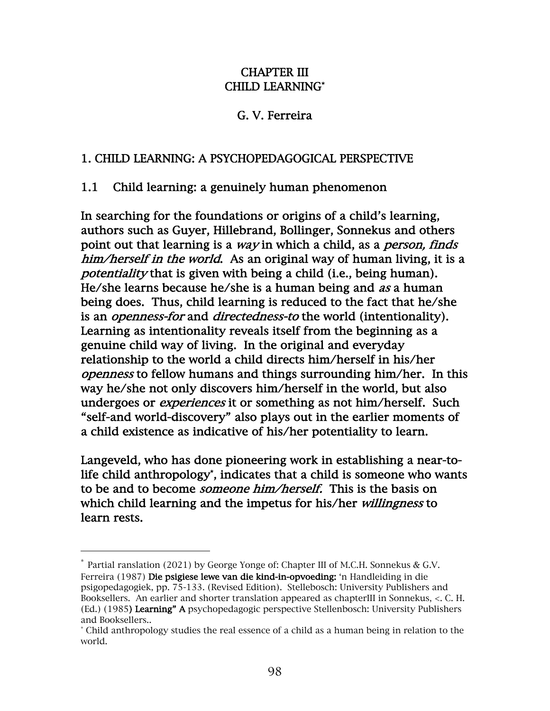#### CHAPTER III CHILD LEARNING\*

## G. V. Ferreira

#### 1. CHILD LEARNING: A PSYCHOPEDAGOGICAL PERSPECTIVE

#### 1.1 Child learning: a genuinely human phenomenon

In searching for the foundations or origins of a child's learning, authors such as Guyer, Hillebrand, Bollinger, Sonnekus and others point out that learning is a *way* in which a child, as a *person, finds* him/herself in the world. As an original way of human living, it is a potentiality that is given with being a child (i.e., being human). He/she learns because he/she is a human being and as a human being does. Thus, child learning is reduced to the fact that he/she is an *openness-for* and *directedness-to* the world (intentionality). Learning as intentionality reveals itself from the beginning as a genuine child way of living. In the original and everyday relationship to the world a child directs him/herself in his/her openness to fellow humans and things surrounding him/her. In this way he/she not only discovers him/herself in the world, but also undergoes or *experiences* it or something as not him/herself. Such "self-and world-discovery" also plays out in the earlier moments of a child existence as indicative of his/her potentiality to learn.

Langeveld, who has done pioneering work in establishing a near-tolife child anthropology\* , indicates that a child is someone who wants to be and to become *someone him/herself*. This is the basis on which child learning and the impetus for his/her *willingness* to learn rests.

<sup>\*</sup> Partial ranslation (2021) by George Yonge of: Chapter III of M.C.H. Sonnekus & G.V. Ferreira (1987) Die psigiese lewe van die kind-in-opvoeding: 'n Handleiding in die psigopedagogiek, pp. 75-133. (Revised Edition). Stellebosch: University Publishers and Booksellers. An earlier and shorter translation appeared as chapterIII in Sonnekus, <. C. H. (Ed.) (1985) Learning" A psychopedagogic perspective Stellenbosch: University Publishers and Booksellers..

<sup>\*</sup> Child anthropology studies the real essence of a child as a human being in relation to the world.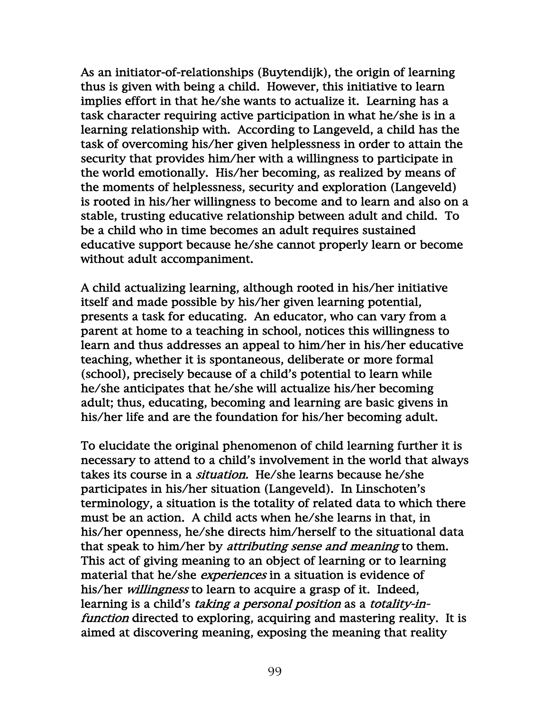As an initiator-of-relationships (Buytendijk), the origin of learning thus is given with being a child. However, this initiative to learn implies effort in that he/she wants to actualize it. Learning has a task character requiring active participation in what he/she is in a learning relationship with. According to Langeveld, a child has the task of overcoming his/her given helplessness in order to attain the security that provides him/her with a willingness to participate in the world emotionally. His/her becoming, as realized by means of the moments of helplessness, security and exploration (Langeveld) is rooted in his/her willingness to become and to learn and also on a stable, trusting educative relationship between adult and child. To be a child who in time becomes an adult requires sustained educative support because he/she cannot properly learn or become without adult accompaniment.

A child actualizing learning, although rooted in his/her initiative itself and made possible by his/her given learning potential, presents a task for educating. An educator, who can vary from a parent at home to a teaching in school, notices this willingness to learn and thus addresses an appeal to him/her in his/her educative teaching, whether it is spontaneous, deliberate or more formal (school), precisely because of a child's potential to learn while he/she anticipates that he/she will actualize his/her becoming adult; thus, educating, becoming and learning are basic givens in his/her life and are the foundation for his/her becoming adult.

To elucidate the original phenomenon of child learning further it is necessary to attend to a child's involvement in the world that always takes its course in a *situation*. He/she learns because he/she participates in his/her situation (Langeveld). In Linschoten's terminology, a situation is the totality of related data to which there must be an action. A child acts when he/she learns in that, in his/her openness, he/she directs him/herself to the situational data that speak to him/her by *attributing sense and meaning* to them. This act of giving meaning to an object of learning or to learning material that he/she *experiences* in a situation is evidence of his/her *willingness* to learn to acquire a grasp of it. Indeed, learning is a child's *taking a personal position* as a *totality-in*function directed to exploring, acquiring and mastering reality. It is aimed at discovering meaning, exposing the meaning that reality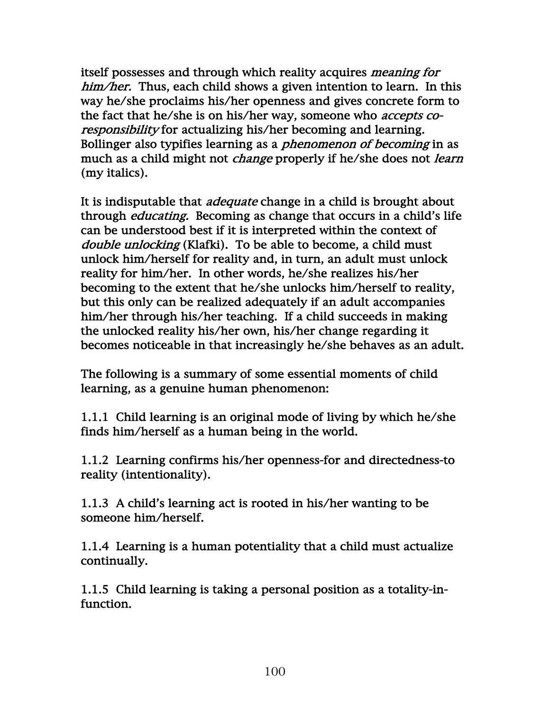itself possesses and through which reality acquires meaning for him/her. Thus, each child shows a given intention to learn. In this way he/she proclaims his/her openness and gives concrete form to the fact that he/she is on his/her way, someone who *accepts co*responsibility for actualizing his/her becoming and learning. Bollinger also typifies learning as a *phenomenon of becoming* in as much as a child might not *change* properly if he/she does not *learn* (my italics).

It is indisputable that *adequate* change in a child is brought about through educating. Becoming as change that occurs in a child's life can be understood best if it is interpreted within the context of double unlocking (Klafki). To be able to become, a child must unlock him/herself for reality and, in turn, an adult must unlock reality for him/her. In other words, he/she realizes his/her becoming to the extent that he/she unlocks him/herself to reality, but this only can be realized adequately if an adult accompanies him/her through his/her teaching. If a child succeeds in making the unlocked reality his/her own, his/her change regarding it becomes noticeable in that increasingly he/she behaves as an adult.

The following is a summary of some essential moments of child learning, as a genuine human phenomenon:

1.1.1 Child learning is an original mode of living by which he/she finds him/herself as a human being in the world.

1.1.2 Learning confirms his/her openness-for and directedness-to reality (intentionality).

1.1.3 A child's learning act is rooted in his/her wanting to be someone him/herself.

1.1.4 Learning is a human potentiality that a child must actualize continually.

1.1.5 Child learning is taking a personal position as a totality-infunction.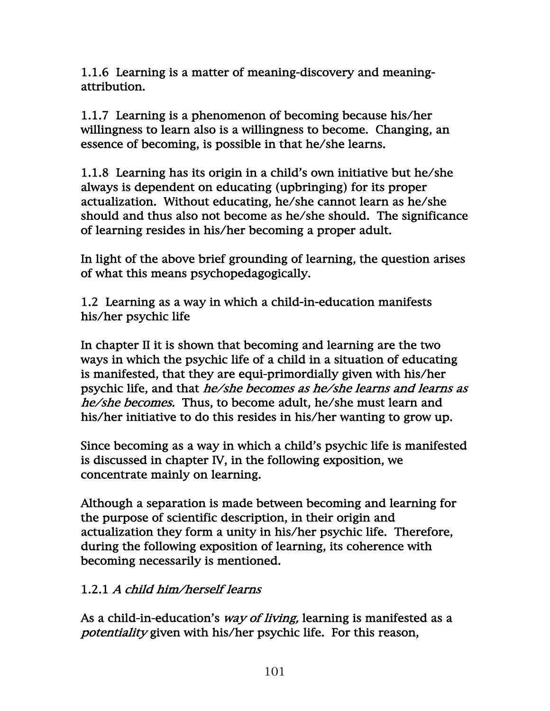1.1.6 Learning is a matter of meaning-discovery and meaningattribution.

1.1.7 Learning is a phenomenon of becoming because his/her willingness to learn also is a willingness to become. Changing, an essence of becoming, is possible in that he/she learns.

1.1.8 Learning has its origin in a child's own initiative but he/she always is dependent on educating (upbringing) for its proper actualization. Without educating, he/she cannot learn as he/she should and thus also not become as he/she should. The significance of learning resides in his/her becoming a proper adult.

In light of the above brief grounding of learning, the question arises of what this means psychopedagogically.

1.2 Learning as a way in which a child-in-education manifests his/her psychic life

In chapter II it is shown that becoming and learning are the two ways in which the psychic life of a child in a situation of educating is manifested, that they are equi-primordially given with his/her psychic life, and that he/she becomes as he/she learns and learns as he/she becomes. Thus, to become adult, he/she must learn and his/her initiative to do this resides in his/her wanting to grow up.

Since becoming as a way in which a child's psychic life is manifested is discussed in chapter IV, in the following exposition, we concentrate mainly on learning.

Although a separation is made between becoming and learning for the purpose of scientific description, in their origin and actualization they form a unity in his/her psychic life. Therefore, during the following exposition of learning, its coherence with becoming necessarily is mentioned.

# 1.2.1 A child him/herself learns

As a child-in-education's *way of living*, learning is manifested as a potentiality given with his/her psychic life. For this reason,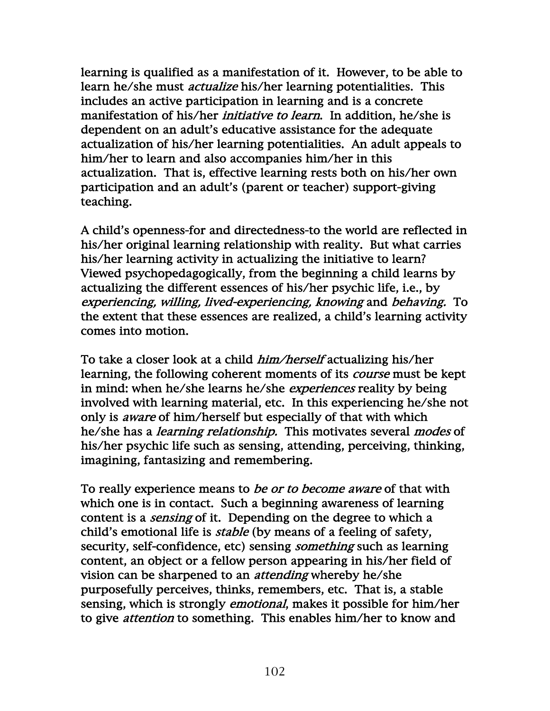learning is qualified as a manifestation of it. However, to be able to learn he/she must actualize his/her learning potentialities. This includes an active participation in learning and is a concrete manifestation of his/her *initiative to learn*. In addition, he/she is dependent on an adult's educative assistance for the adequate actualization of his/her learning potentialities. An adult appeals to him/her to learn and also accompanies him/her in this actualization. That is, effective learning rests both on his/her own participation and an adult's (parent or teacher) support-giving teaching.

A child's openness-for and directedness-to the world are reflected in his/her original learning relationship with reality. But what carries his/her learning activity in actualizing the initiative to learn? Viewed psychopedagogically, from the beginning a child learns by actualizing the different essences of his/her psychic life, i.e., by experiencing, willing, lived-experiencing, knowing and behaving. To the extent that these essences are realized, a child's learning activity comes into motion.

To take a closer look at a child *him/herself* actualizing his/her learning, the following coherent moments of its *course* must be kept in mind: when he/she learns he/she *experiences* reality by being involved with learning material, etc. In this experiencing he/she not only is aware of him/herself but especially of that with which he/she has a learning relationship. This motivates several modes of his/her psychic life such as sensing, attending, perceiving, thinking, imagining, fantasizing and remembering.

To really experience means to *be or to become aware* of that with which one is in contact. Such a beginning awareness of learning content is a *sensing* of it. Depending on the degree to which a child's emotional life is *stable* (by means of a feeling of safety, security, self-confidence, etc) sensing *something* such as learning content, an object or a fellow person appearing in his/her field of vision can be sharpened to an *attending* whereby he/she purposefully perceives, thinks, remembers, etc. That is, a stable sensing, which is strongly *emotional*, makes it possible for him/her to give attention to something. This enables him/her to know and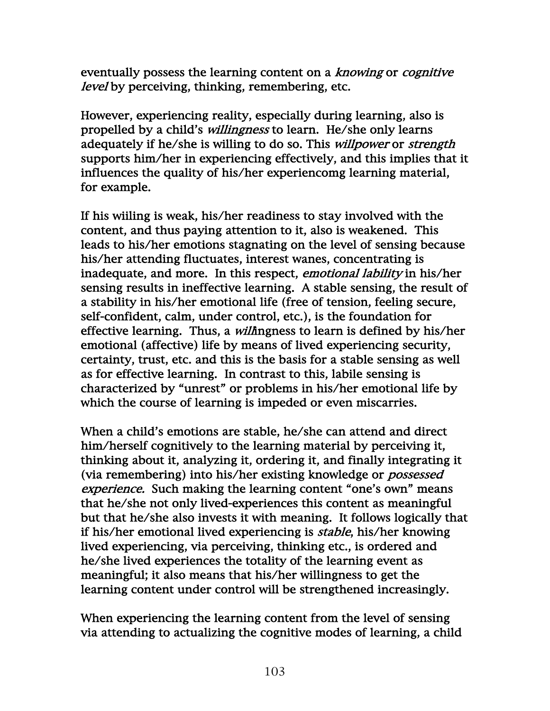eventually possess the learning content on a *knowing* or *cognitive* level by perceiving, thinking, remembering, etc.

However, experiencing reality, especially during learning, also is propelled by a child's willingness to learn. He/she only learns adequately if he/she is willing to do so. This *willpower* or *strength* supports him/her in experiencing effectively, and this implies that it influences the quality of his/her experiencomg learning material, for example.

If his wiiling is weak, his/her readiness to stay involved with the content, and thus paying attention to it, also is weakened. This leads to his/her emotions stagnating on the level of sensing because his/her attending fluctuates, interest wanes, concentrating is inadequate, and more. In this respect, emotional lability in his/her sensing results in ineffective learning. A stable sensing, the result of a stability in his/her emotional life (free of tension, feeling secure, self-confident, calm, under control, etc.), is the foundation for effective learning. Thus, a *will*ingness to learn is defined by his/her emotional (affective) life by means of lived experiencing security, certainty, trust, etc. and this is the basis for a stable sensing as well as for effective learning. In contrast to this, labile sensing is characterized by "unrest" or problems in his/her emotional life by which the course of learning is impeded or even miscarries.

When a child's emotions are stable, he/she can attend and direct him/herself cognitively to the learning material by perceiving it, thinking about it, analyzing it, ordering it, and finally integrating it (via remembering) into his/her existing knowledge or possessed experience. Such making the learning content "one's own" means that he/she not only lived-experiences this content as meaningful but that he/she also invests it with meaning. It follows logically that if his/her emotional lived experiencing is stable, his/her knowing lived experiencing, via perceiving, thinking etc., is ordered and he/she lived experiences the totality of the learning event as meaningful; it also means that his/her willingness to get the learning content under control will be strengthened increasingly.

When experiencing the learning content from the level of sensing via attending to actualizing the cognitive modes of learning, a child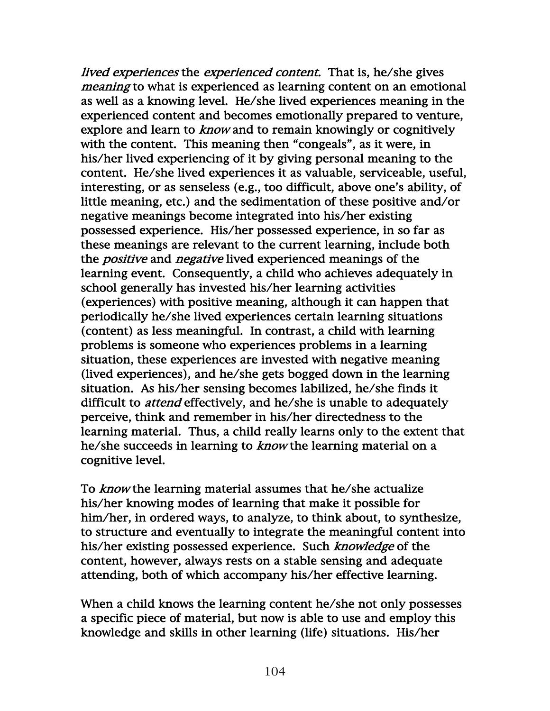lived experiences the experienced content. That is, he/she gives meaning to what is experienced as learning content on an emotional as well as a knowing level. He/she lived experiences meaning in the experienced content and becomes emotionally prepared to venture, explore and learn to *know* and to remain knowingly or cognitively with the content. This meaning then "congeals", as it were, in his/her lived experiencing of it by giving personal meaning to the content. He/she lived experiences it as valuable, serviceable, useful, interesting, or as senseless (e.g., too difficult, above one's ability, of little meaning, etc.) and the sedimentation of these positive and/or negative meanings become integrated into his/her existing possessed experience. His/her possessed experience, in so far as these meanings are relevant to the current learning, include both the *positive* and *negative* lived experienced meanings of the learning event. Consequently, a child who achieves adequately in school generally has invested his/her learning activities (experiences) with positive meaning, although it can happen that periodically he/she lived experiences certain learning situations (content) as less meaningful. In contrast, a child with learning problems is someone who experiences problems in a learning situation, these experiences are invested with negative meaning (lived experiences), and he/she gets bogged down in the learning situation. As his/her sensing becomes labilized, he/she finds it difficult to *attend* effectively, and he/she is unable to adequately perceive, think and remember in his/her directedness to the learning material. Thus, a child really learns only to the extent that he/she succeeds in learning to *know* the learning material on a cognitive level.

To *know* the learning material assumes that he/she actualize his/her knowing modes of learning that make it possible for him/her, in ordered ways, to analyze, to think about, to synthesize, to structure and eventually to integrate the meaningful content into his/her existing possessed experience. Such knowledge of the content, however, always rests on a stable sensing and adequate attending, both of which accompany his/her effective learning.

When a child knows the learning content he/she not only possesses a specific piece of material, but now is able to use and employ this knowledge and skills in other learning (life) situations. His/her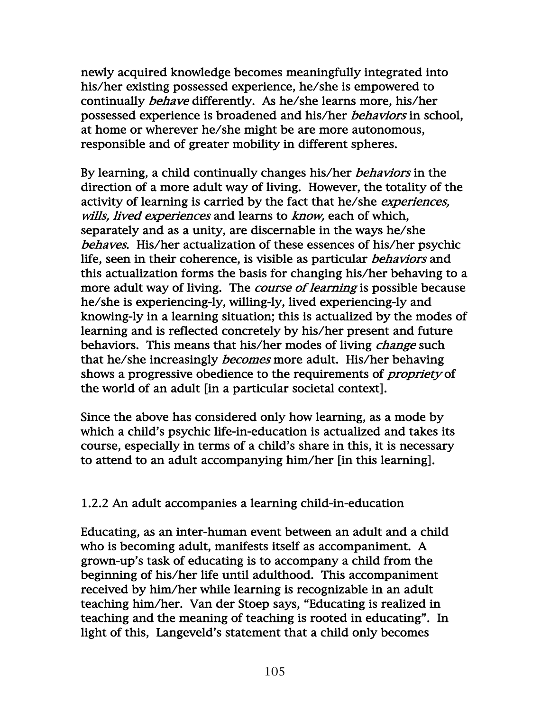newly acquired knowledge becomes meaningfully integrated into his/her existing possessed experience, he/she is empowered to continually behave differently. As he/she learns more, his/her possessed experience is broadened and his/her behaviors in school, at home or wherever he/she might be are more autonomous, responsible and of greater mobility in different spheres.

By learning, a child continually changes his/her *behaviors* in the direction of a more adult way of living. However, the totality of the activity of learning is carried by the fact that he/she experiences, wills, lived experiences and learns to know, each of which, separately and as a unity, are discernable in the ways he/she behaves. His/her actualization of these essences of his/her psychic life, seen in their coherence, is visible as particular behaviors and this actualization forms the basis for changing his/her behaving to a more adult way of living. The *course of learning* is possible because he/she is experiencing-ly, willing-ly, lived experiencing-ly and knowing-ly in a learning situation; this is actualized by the modes of learning and is reflected concretely by his/her present and future behaviors. This means that his/her modes of living *change* such that he/she increasingly becomes more adult. His/her behaving shows a progressive obedience to the requirements of *propriety* of the world of an adult [in a particular societal context].

Since the above has considered only how learning, as a mode by which a child's psychic life-in-education is actualized and takes its course, especially in terms of a child's share in this, it is necessary to attend to an adult accompanying him/her [in this learning].

## 1.2.2 An adult accompanies a learning child-in-education

Educating, as an inter-human event between an adult and a child who is becoming adult, manifests itself as accompaniment. A grown-up's task of educating is to accompany a child from the beginning of his/her life until adulthood. This accompaniment received by him/her while learning is recognizable in an adult teaching him/her. Van der Stoep says, "Educating is realized in teaching and the meaning of teaching is rooted in educating". In light of this, Langeveld's statement that a child only becomes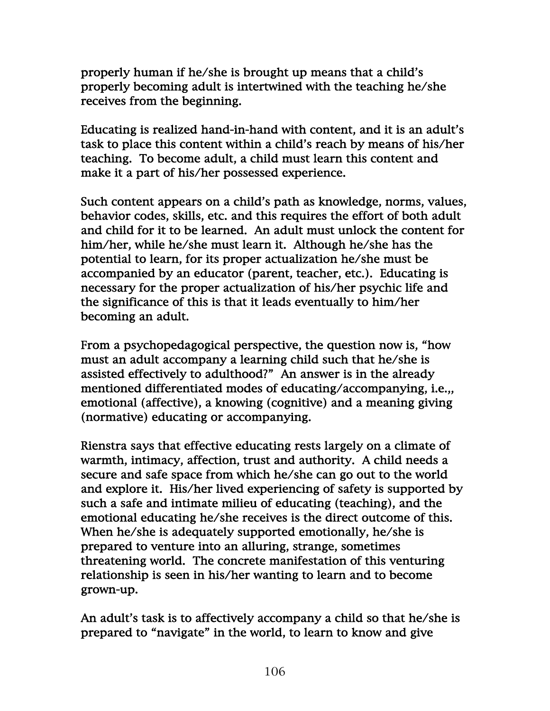properly human if he/she is brought up means that a child's properly becoming adult is intertwined with the teaching he/she receives from the beginning.

Educating is realized hand-in-hand with content, and it is an adult's task to place this content within a child's reach by means of his/her teaching. To become adult, a child must learn this content and make it a part of his/her possessed experience.

Such content appears on a child's path as knowledge, norms, values, behavior codes, skills, etc. and this requires the effort of both adult and child for it to be learned. An adult must unlock the content for him/her, while he/she must learn it. Although he/she has the potential to learn, for its proper actualization he/she must be accompanied by an educator (parent, teacher, etc.). Educating is necessary for the proper actualization of his/her psychic life and the significance of this is that it leads eventually to him/her becoming an adult.

From a psychopedagogical perspective, the question now is, "how must an adult accompany a learning child such that he/she is assisted effectively to adulthood?" An answer is in the already mentioned differentiated modes of educating/accompanying, i.e.,, emotional (affective), a knowing (cognitive) and a meaning giving (normative) educating or accompanying.

Rienstra says that effective educating rests largely on a climate of warmth, intimacy, affection, trust and authority. A child needs a secure and safe space from which he/she can go out to the world and explore it. His/her lived experiencing of safety is supported by such a safe and intimate milieu of educating (teaching), and the emotional educating he/she receives is the direct outcome of this. When he/she is adequately supported emotionally, he/she is prepared to venture into an alluring, strange, sometimes threatening world. The concrete manifestation of this venturing relationship is seen in his/her wanting to learn and to become grown-up.

An adult's task is to affectively accompany a child so that he/she is prepared to "navigate" in the world, to learn to know and give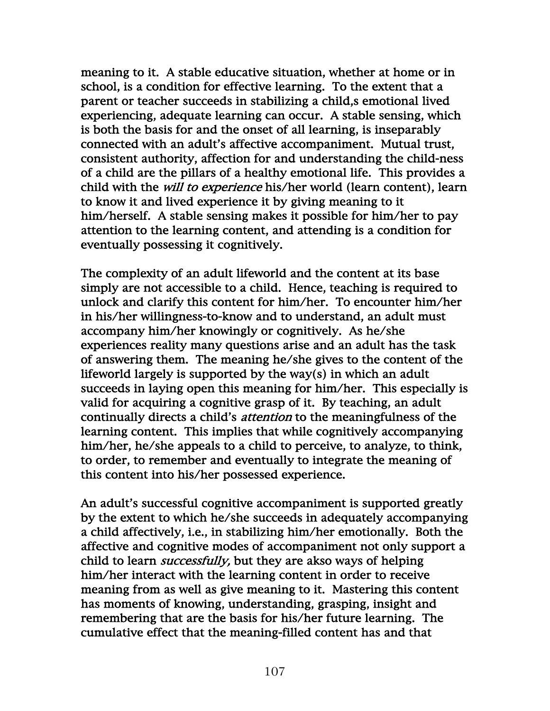meaning to it. A stable educative situation, whether at home or in school, is a condition for effective learning. To the extent that a parent or teacher succeeds in stabilizing a child,s emotional lived experiencing, adequate learning can occur. A stable sensing, which is both the basis for and the onset of all learning, is inseparably connected with an adult's affective accompaniment. Mutual trust, consistent authority, affection for and understanding the child-ness of a child are the pillars of a healthy emotional life. This provides a child with the *will to experience* his/her world (learn content), learn to know it and lived experience it by giving meaning to it him/herself. A stable sensing makes it possible for him/her to pay attention to the learning content, and attending is a condition for eventually possessing it cognitively.

The complexity of an adult lifeworld and the content at its base simply are not accessible to a child. Hence, teaching is required to unlock and clarify this content for him/her. To encounter him/her in his/her willingness-to-know and to understand, an adult must accompany him/her knowingly or cognitively. As he/she experiences reality many questions arise and an adult has the task of answering them. The meaning he/she gives to the content of the lifeworld largely is supported by the way(s) in which an adult succeeds in laying open this meaning for him/her. This especially is valid for acquiring a cognitive grasp of it. By teaching, an adult continually directs a child's attention to the meaningfulness of the learning content. This implies that while cognitively accompanying him/her, he/she appeals to a child to perceive, to analyze, to think, to order, to remember and eventually to integrate the meaning of this content into his/her possessed experience.

An adult's successful cognitive accompaniment is supported greatly by the extent to which he/she succeeds in adequately accompanying a child affectively, i.e., in stabilizing him/her emotionally. Both the affective and cognitive modes of accompaniment not only support a child to learn *successfully*, but they are akso ways of helping him/her interact with the learning content in order to receive meaning from as well as give meaning to it. Mastering this content has moments of knowing, understanding, grasping, insight and remembering that are the basis for his/her future learning. The cumulative effect that the meaning-filled content has and that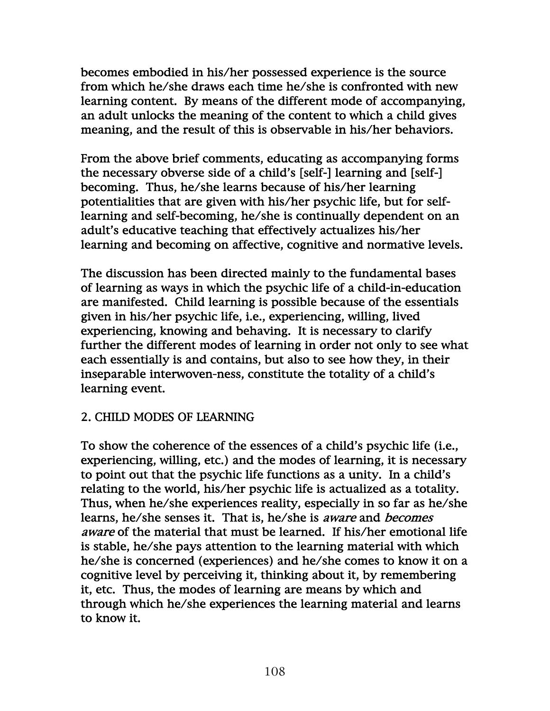becomes embodied in his/her possessed experience is the source from which he/she draws each time he/she is confronted with new learning content. By means of the different mode of accompanying, an adult unlocks the meaning of the content to which a child gives meaning, and the result of this is observable in his/her behaviors.

From the above brief comments, educating as accompanying forms the necessary obverse side of a child's [self-] learning and [self-] becoming. Thus, he/she learns because of his/her learning potentialities that are given with his/her psychic life, but for selflearning and self-becoming, he/she is continually dependent on an adult's educative teaching that effectively actualizes his/her learning and becoming on affective, cognitive and normative levels.

The discussion has been directed mainly to the fundamental bases of learning as ways in which the psychic life of a child-in-education are manifested. Child learning is possible because of the essentials given in his/her psychic life, i.e., experiencing, willing, lived experiencing, knowing and behaving. It is necessary to clarify further the different modes of learning in order not only to see what each essentially is and contains, but also to see how they, in their inseparable interwoven-ness, constitute the totality of a child's learning event.

## 2. CHILD MODES OF LEARNING

To show the coherence of the essences of a child's psychic life (i.e., experiencing, willing, etc.) and the modes of learning, it is necessary to point out that the psychic life functions as a unity. In a child's relating to the world, his/her psychic life is actualized as a totality. Thus, when he/she experiences reality, especially in so far as he/she learns, he/she senses it. That is, he/she is aware and becomes aware of the material that must be learned. If his/her emotional life is stable, he/she pays attention to the learning material with which he/she is concerned (experiences) and he/she comes to know it on a cognitive level by perceiving it, thinking about it, by remembering it, etc. Thus, the modes of learning are means by which and through which he/she experiences the learning material and learns to know it.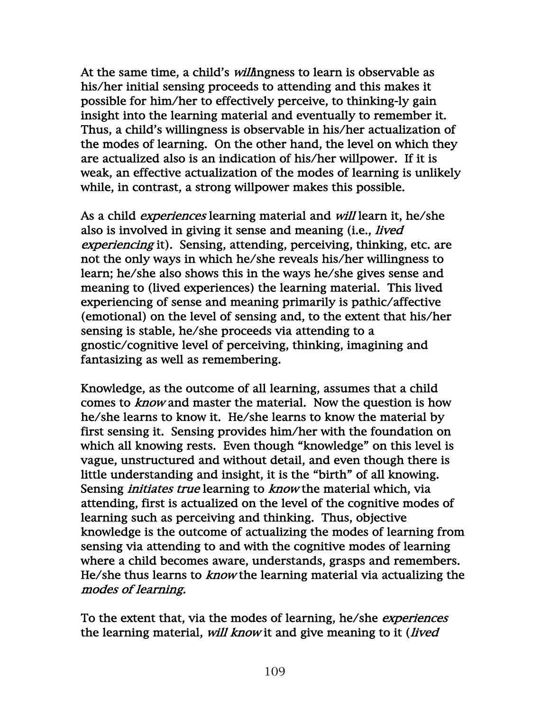At the same time, a child's *will*ingness to learn is observable as his/her initial sensing proceeds to attending and this makes it possible for him/her to effectively perceive, to thinking-ly gain insight into the learning material and eventually to remember it. Thus, a child's willingness is observable in his/her actualization of the modes of learning. On the other hand, the level on which they are actualized also is an indication of his/her willpower. If it is weak, an effective actualization of the modes of learning is unlikely while, in contrast, a strong willpower makes this possible.

As a child *experiences* learning material and *will* learn it, he/she also is involved in giving it sense and meaning (i.e., *lived* experiencing it). Sensing, attending, perceiving, thinking, etc. are not the only ways in which he/she reveals his/her willingness to learn; he/she also shows this in the ways he/she gives sense and meaning to (lived experiences) the learning material. This lived experiencing of sense and meaning primarily is pathic/affective (emotional) on the level of sensing and, to the extent that his/her sensing is stable, he/she proceeds via attending to a gnostic/cognitive level of perceiving, thinking, imagining and fantasizing as well as remembering.

Knowledge, as the outcome of all learning, assumes that a child comes to *know* and master the material. Now the question is how he/she learns to know it. He/she learns to know the material by first sensing it. Sensing provides him/her with the foundation on which all knowing rests. Even though "knowledge" on this level is vague, unstructured and without detail, and even though there is little understanding and insight, it is the "birth" of all knowing. Sensing *initiates true* learning to *know* the material which, via attending, first is actualized on the level of the cognitive modes of learning such as perceiving and thinking. Thus, objective knowledge is the outcome of actualizing the modes of learning from sensing via attending to and with the cognitive modes of learning where a child becomes aware, understands, grasps and remembers. He/she thus learns to know the learning material via actualizing the modes of learning.

To the extent that, via the modes of learning, he/she *experiences* the learning material, will know it and give meaning to it (lived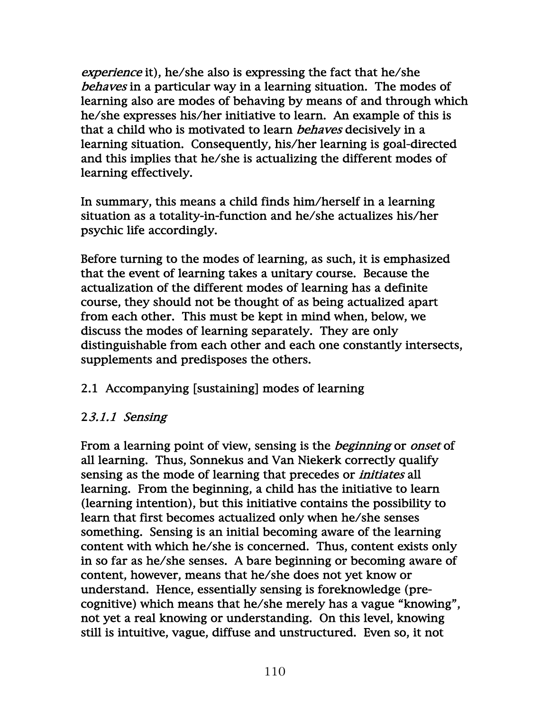experience it), he/she also is expressing the fact that he/she behaves in a particular way in a learning situation. The modes of learning also are modes of behaving by means of and through which he/she expresses his/her initiative to learn. An example of this is that a child who is motivated to learn *behaves* decisively in a learning situation. Consequently, his/her learning is goal-directed and this implies that he/she is actualizing the different modes of learning effectively.

In summary, this means a child finds him/herself in a learning situation as a totality-in-function and he/she actualizes his/her psychic life accordingly.

Before turning to the modes of learning, as such, it is emphasized that the event of learning takes a unitary course. Because the actualization of the different modes of learning has a definite course, they should not be thought of as being actualized apart from each other. This must be kept in mind when, below, we discuss the modes of learning separately. They are only distinguishable from each other and each one constantly intersects, supplements and predisposes the others.

# 2.1 Accompanying [sustaining] modes of learning

# 23.1.1 Sensing

From a learning point of view, sensing is the *beginning* or *onset* of all learning. Thus, Sonnekus and Van Niekerk correctly qualify sensing as the mode of learning that precedes or *initiates* all learning. From the beginning, a child has the initiative to learn (learning intention), but this initiative contains the possibility to learn that first becomes actualized only when he/she senses something. Sensing is an initial becoming aware of the learning content with which he/she is concerned. Thus, content exists only in so far as he/she senses. A bare beginning or becoming aware of content, however, means that he/she does not yet know or understand. Hence, essentially sensing is foreknowledge (precognitive) which means that he/she merely has a vague "knowing", not yet a real knowing or understanding. On this level, knowing still is intuitive, vague, diffuse and unstructured. Even so, it not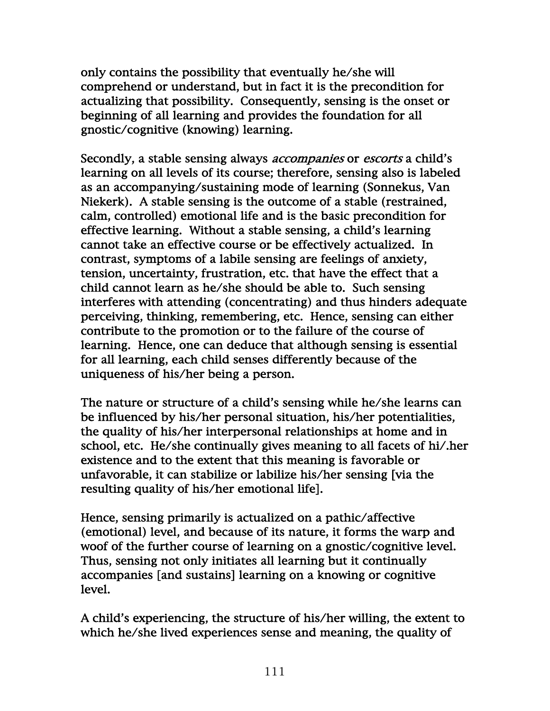only contains the possibility that eventually he/she will comprehend or understand, but in fact it is the precondition for actualizing that possibility. Consequently, sensing is the onset or beginning of all learning and provides the foundation for all gnostic/cognitive (knowing) learning.

Secondly, a stable sensing always *accompanies* or *escorts* a child's learning on all levels of its course; therefore, sensing also is labeled as an accompanying/sustaining mode of learning (Sonnekus, Van Niekerk). A stable sensing is the outcome of a stable (restrained, calm, controlled) emotional life and is the basic precondition for effective learning. Without a stable sensing, a child's learning cannot take an effective course or be effectively actualized. In contrast, symptoms of a labile sensing are feelings of anxiety, tension, uncertainty, frustration, etc. that have the effect that a child cannot learn as he/she should be able to. Such sensing interferes with attending (concentrating) and thus hinders adequate perceiving, thinking, remembering, etc. Hence, sensing can either contribute to the promotion or to the failure of the course of learning. Hence, one can deduce that although sensing is essential for all learning, each child senses differently because of the uniqueness of his/her being a person.

The nature or structure of a child's sensing while he/she learns can be influenced by his/her personal situation, his/her potentialities, the quality of his/her interpersonal relationships at home and in school, etc. He/she continually gives meaning to all facets of hi/.her existence and to the extent that this meaning is favorable or unfavorable, it can stabilize or labilize his/her sensing [via the resulting quality of his/her emotional life].

Hence, sensing primarily is actualized on a pathic/affective (emotional) level, and because of its nature, it forms the warp and woof of the further course of learning on a gnostic/cognitive level. Thus, sensing not only initiates all learning but it continually accompanies [and sustains] learning on a knowing or cognitive level.

A child's experiencing, the structure of his/her willing, the extent to which he/she lived experiences sense and meaning, the quality of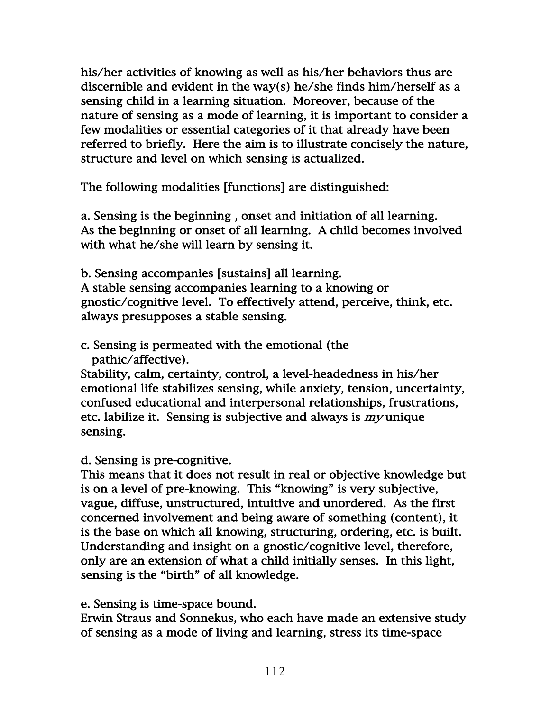his/her activities of knowing as well as his/her behaviors thus are discernible and evident in the way(s) he/she finds him/herself as a sensing child in a learning situation. Moreover, because of the nature of sensing as a mode of learning, it is important to consider a few modalities or essential categories of it that already have been referred to briefly. Here the aim is to illustrate concisely the nature, structure and level on which sensing is actualized.

The following modalities [functions] are distinguished:

a. Sensing is the beginning , onset and initiation of all learning. As the beginning or onset of all learning. A child becomes involved with what he/she will learn by sensing it.

b. Sensing accompanies [sustains] all learning. A stable sensing accompanies learning to a knowing or gnostic/cognitive level. To effectively attend, perceive, think, etc. always presupposes a stable sensing.

c. Sensing is permeated with the emotional (the pathic/affective).

Stability, calm, certainty, control, a level-headedness in his/her emotional life stabilizes sensing, while anxiety, tension, uncertainty, confused educational and interpersonal relationships, frustrations, etc. labilize it. Sensing is subjective and always is my unique sensing.

d. Sensing is pre-cognitive.

This means that it does not result in real or objective knowledge but is on a level of pre-knowing. This "knowing" is very subjective, vague, diffuse, unstructured, intuitive and unordered. As the first concerned involvement and being aware of something (content), it is the base on which all knowing, structuring, ordering, etc. is built. Understanding and insight on a gnostic/cognitive level, therefore, only are an extension of what a child initially senses. In this light, sensing is the "birth" of all knowledge.

e. Sensing is time-space bound.

Erwin Straus and Sonnekus, who each have made an extensive study of sensing as a mode of living and learning, stress its time-space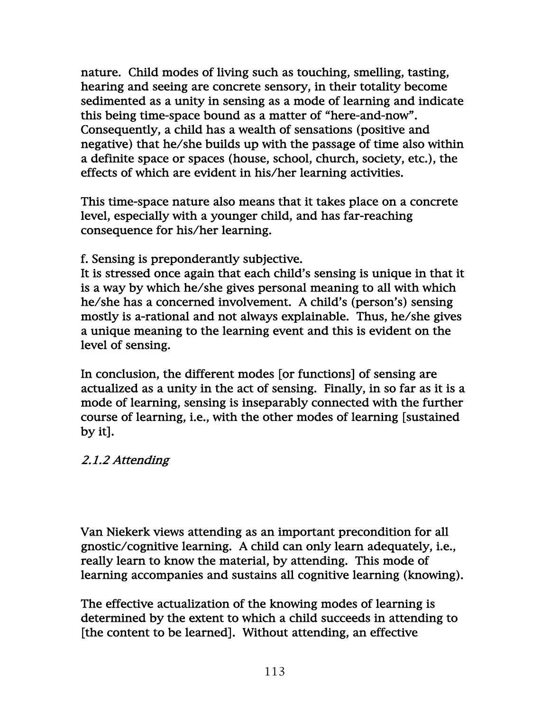nature. Child modes of living such as touching, smelling, tasting, hearing and seeing are concrete sensory, in their totality become sedimented as a unity in sensing as a mode of learning and indicate this being time-space bound as a matter of "here-and-now". Consequently, a child has a wealth of sensations (positive and negative) that he/she builds up with the passage of time also within a definite space or spaces (house, school, church, society, etc.), the effects of which are evident in his/her learning activities.

This time-space nature also means that it takes place on a concrete level, especially with a younger child, and has far-reaching consequence for his/her learning.

f. Sensing is preponderantly subjective.

It is stressed once again that each child's sensing is unique in that it is a way by which he/she gives personal meaning to all with which he/she has a concerned involvement. A child's (person's) sensing mostly is a-rational and not always explainable. Thus, he/she gives a unique meaning to the learning event and this is evident on the level of sensing.

In conclusion, the different modes [or functions] of sensing are actualized as a unity in the act of sensing. Finally, in so far as it is a mode of learning, sensing is inseparably connected with the further course of learning, i.e., with the other modes of learning [sustained by it].

# 2.1.2 Attending

Van Niekerk views attending as an important precondition for all gnostic/cognitive learning. A child can only learn adequately, i.e., really learn to know the material, by attending. This mode of learning accompanies and sustains all cognitive learning (knowing).

The effective actualization of the knowing modes of learning is determined by the extent to which a child succeeds in attending to [the content to be learned]. Without attending, an effective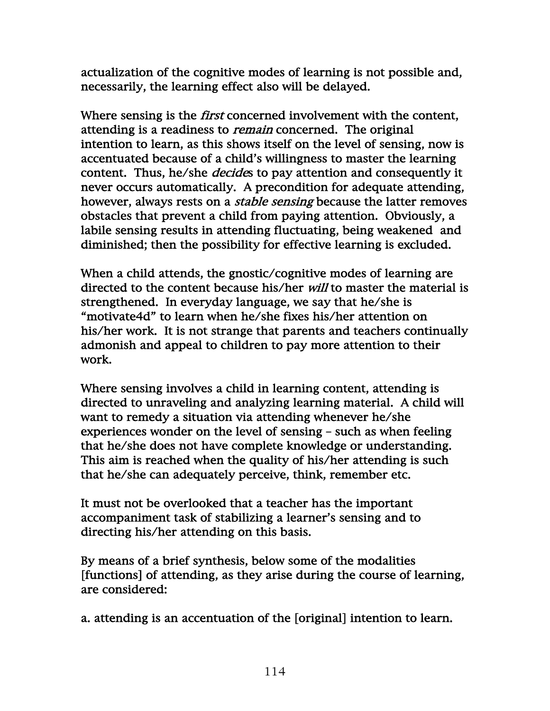actualization of the cognitive modes of learning is not possible and, necessarily, the learning effect also will be delayed.

Where sensing is the *first* concerned involvement with the content, attending is a readiness to *remain* concerned. The original intention to learn, as this shows itself on the level of sensing, now is accentuated because of a child's willingness to master the learning content. Thus, he/she *decides* to pay attention and consequently it never occurs automatically. A precondition for adequate attending, however, always rests on a *stable sensing* because the latter removes obstacles that prevent a child from paying attention. Obviously, a labile sensing results in attending fluctuating, being weakened and diminished; then the possibility for effective learning is excluded.

When a child attends, the gnostic/cognitive modes of learning are directed to the content because his/her *will* to master the material is strengthened. In everyday language, we say that he/she is "motivate4d" to learn when he/she fixes his/her attention on his/her work. It is not strange that parents and teachers continually admonish and appeal to children to pay more attention to their work.

Where sensing involves a child in learning content, attending is directed to unraveling and analyzing learning material. A child will want to remedy a situation via attending whenever he/she experiences wonder on the level of sensing – such as when feeling that he/she does not have complete knowledge or understanding. This aim is reached when the quality of his/her attending is such that he/she can adequately perceive, think, remember etc.

It must not be overlooked that a teacher has the important accompaniment task of stabilizing a learner's sensing and to directing his/her attending on this basis.

By means of a brief synthesis, below some of the modalities [functions] of attending, as they arise during the course of learning, are considered:

a. attending is an accentuation of the [original] intention to learn.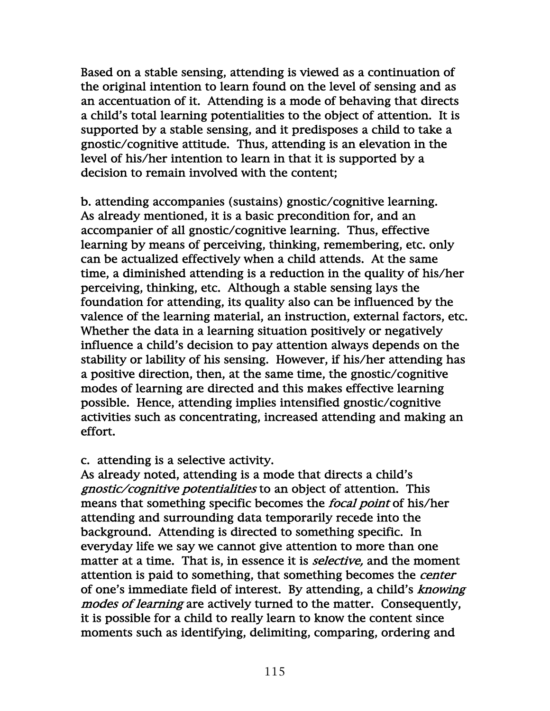Based on a stable sensing, attending is viewed as a continuation of the original intention to learn found on the level of sensing and as an accentuation of it. Attending is a mode of behaving that directs a child's total learning potentialities to the object of attention. It is supported by a stable sensing, and it predisposes a child to take a gnostic/cognitive attitude. Thus, attending is an elevation in the level of his/her intention to learn in that it is supported by a decision to remain involved with the content;

b. attending accompanies (sustains) gnostic/cognitive learning. As already mentioned, it is a basic precondition for, and an accompanier of all gnostic/cognitive learning. Thus, effective learning by means of perceiving, thinking, remembering, etc. only can be actualized effectively when a child attends. At the same time, a diminished attending is a reduction in the quality of his/her perceiving, thinking, etc. Although a stable sensing lays the foundation for attending, its quality also can be influenced by the valence of the learning material, an instruction, external factors, etc. Whether the data in a learning situation positively or negatively influence a child's decision to pay attention always depends on the stability or lability of his sensing. However, if his/her attending has a positive direction, then, at the same time, the gnostic/cognitive modes of learning are directed and this makes effective learning possible. Hence, attending implies intensified gnostic/cognitive activities such as concentrating, increased attending and making an effort.

#### c. attending is a selective activity.

As already noted, attending is a mode that directs a child's gnostic/cognitive potentialities to an object of attention. This means that something specific becomes the *focal point* of his/her attending and surrounding data temporarily recede into the background. Attending is directed to something specific. In everyday life we say we cannot give attention to more than one matter at a time. That is, in essence it is *selective*, and the moment attention is paid to something, that something becomes the *center* of one's immediate field of interest. By attending, a child's knowing modes of learning are actively turned to the matter. Consequently, it is possible for a child to really learn to know the content since moments such as identifying, delimiting, comparing, ordering and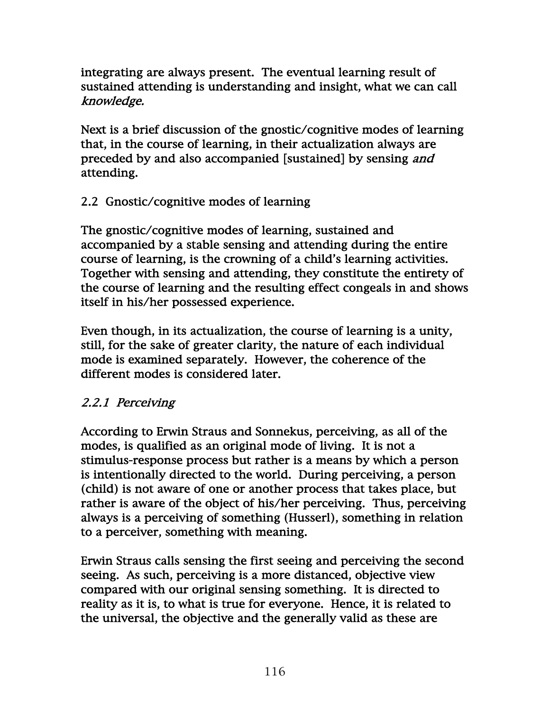integrating are always present. The eventual learning result of sustained attending is understanding and insight, what we can call knowledge.

Next is a brief discussion of the gnostic/cognitive modes of learning that, in the course of learning, in their actualization always are preceded by and also accompanied [sustained] by sensing *and* attending.

# 2.2 Gnostic/cognitive modes of learning

The gnostic/cognitive modes of learning, sustained and accompanied by a stable sensing and attending during the entire course of learning, is the crowning of a child's learning activities. Together with sensing and attending, they constitute the entirety of the course of learning and the resulting effect congeals in and shows itself in his/her possessed experience.

Even though, in its actualization, the course of learning is a unity, still, for the sake of greater clarity, the nature of each individual mode is examined separately. However, the coherence of the different modes is considered later.

# 2.2.1 Perceiving

According to Erwin Straus and Sonnekus, perceiving, as all of the modes, is qualified as an original mode of living. It is not a stimulus-response process but rather is a means by which a person is intentionally directed to the world. During perceiving, a person (child) is not aware of one or another process that takes place, but rather is aware of the object of his/her perceiving. Thus, perceiving always is a perceiving of something (Husserl), something in relation to a perceiver, something with meaning.

Erwin Straus calls sensing the first seeing and perceiving the second seeing. As such, perceiving is a more distanced, objective view compared with our original sensing something. It is directed to reality as it is, to what is true for everyone. Hence, it is related to the universal, the objective and the generally valid as these are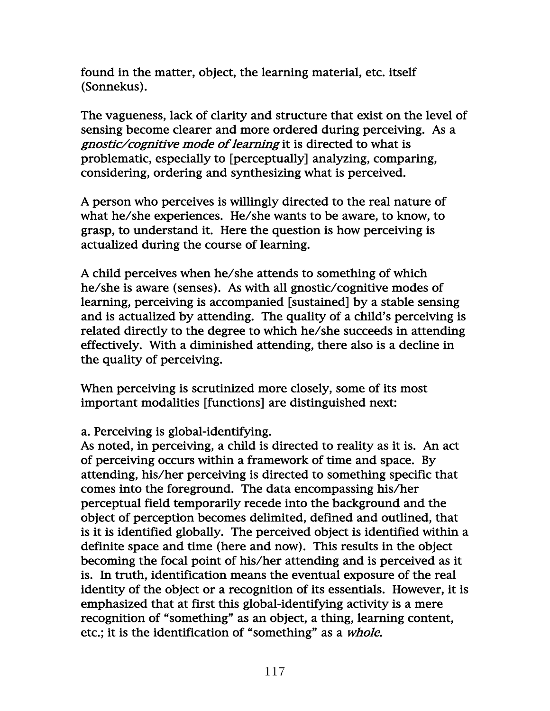found in the matter, object, the learning material, etc. itself (Sonnekus).

The vagueness, lack of clarity and structure that exist on the level of sensing become clearer and more ordered during perceiving. As a gnostic/cognitive mode of learning it is directed to what is problematic, especially to [perceptually] analyzing, comparing, considering, ordering and synthesizing what is perceived.

A person who perceives is willingly directed to the real nature of what he/she experiences. He/she wants to be aware, to know, to grasp, to understand it. Here the question is how perceiving is actualized during the course of learning.

A child perceives when he/she attends to something of which he/she is aware (senses). As with all gnostic/cognitive modes of learning, perceiving is accompanied [sustained] by a stable sensing and is actualized by attending. The quality of a child's perceiving is related directly to the degree to which he/she succeeds in attending effectively. With a diminished attending, there also is a decline in the quality of perceiving.

When perceiving is scrutinized more closely, some of its most important modalities [functions] are distinguished next:

## a. Perceiving is global-identifying.

As noted, in perceiving, a child is directed to reality as it is. An act of perceiving occurs within a framework of time and space. By attending, his/her perceiving is directed to something specific that comes into the foreground. The data encompassing his/her perceptual field temporarily recede into the background and the object of perception becomes delimited, defined and outlined, that is it is identified globally. The perceived object is identified within a definite space and time (here and now). This results in the object becoming the focal point of his/her attending and is perceived as it is. In truth, identification means the eventual exposure of the real identity of the object or a recognition of its essentials. However, it is emphasized that at first this global-identifying activity is a mere recognition of "something" as an object, a thing, learning content, etc.; it is the identification of "something" as a whole.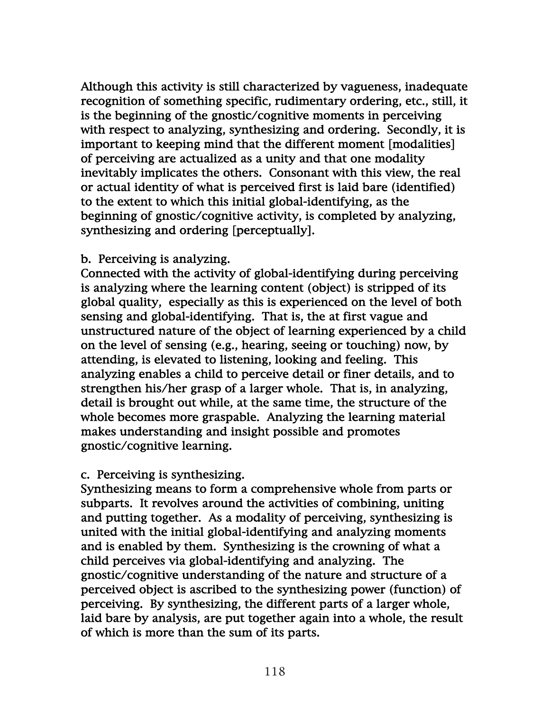Although this activity is still characterized by vagueness, inadequate recognition of something specific, rudimentary ordering, etc., still, it is the beginning of the gnostic/cognitive moments in perceiving with respect to analyzing, synthesizing and ordering. Secondly, it is important to keeping mind that the different moment [modalities] of perceiving are actualized as a unity and that one modality inevitably implicates the others. Consonant with this view, the real or actual identity of what is perceived first is laid bare (identified) to the extent to which this initial global-identifying, as the beginning of gnostic/cognitive activity, is completed by analyzing, synthesizing and ordering [perceptually].

#### b. Perceiving is analyzing.

Connected with the activity of global-identifying during perceiving is analyzing where the learning content (object) is stripped of its global quality, especially as this is experienced on the level of both sensing and global-identifying. That is, the at first vague and unstructured nature of the object of learning experienced by a child on the level of sensing (e.g., hearing, seeing or touching) now, by attending, is elevated to listening, looking and feeling. This analyzing enables a child to perceive detail or finer details, and to strengthen his/her grasp of a larger whole. That is, in analyzing, detail is brought out while, at the same time, the structure of the whole becomes more graspable. Analyzing the learning material makes understanding and insight possible and promotes gnostic/cognitive learning.

#### c. Perceiving is synthesizing.

Synthesizing means to form a comprehensive whole from parts or subparts. It revolves around the activities of combining, uniting and putting together. As a modality of perceiving, synthesizing is united with the initial global-identifying and analyzing moments and is enabled by them. Synthesizing is the crowning of what a child perceives via global-identifying and analyzing. The gnostic/cognitive understanding of the nature and structure of a perceived object is ascribed to the synthesizing power (function) of perceiving. By synthesizing, the different parts of a larger whole, laid bare by analysis, are put together again into a whole, the result of which is more than the sum of its parts.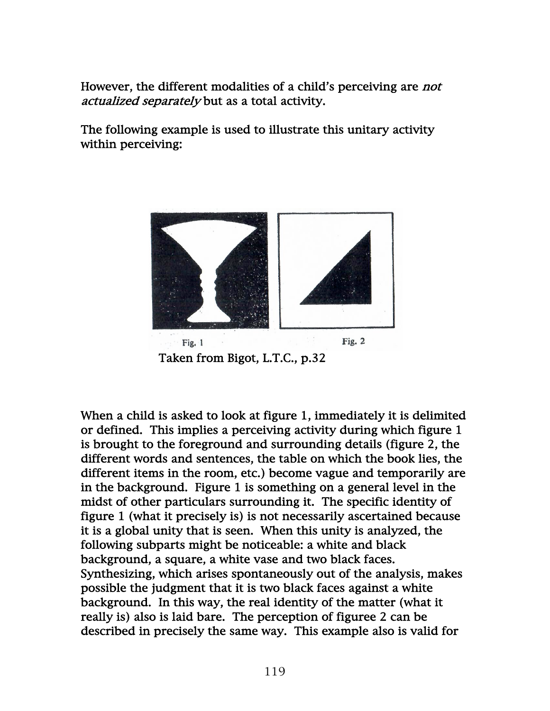However, the different modalities of a child's perceiving are *not* actualized separately but as a total activity.

The following example is used to illustrate this unitary activity within perceiving:



When a child is asked to look at figure 1, immediately it is delimited or defined. This implies a perceiving activity during which figure 1 is brought to the foreground and surrounding details (figure 2, the different words and sentences, the table on which the book lies, the different items in the room, etc.) become vague and temporarily are in the background. Figure 1 is something on a general level in the midst of other particulars surrounding it. The specific identity of figure 1 (what it precisely is) is not necessarily ascertained because it is a global unity that is seen. When this unity is analyzed, the following subparts might be noticeable: a white and black background, a square, a white vase and two black faces. Synthesizing, which arises spontaneously out of the analysis, makes possible the judgment that it is two black faces against a white background. In this way, the real identity of the matter (what it really is) also is laid bare. The perception of figuree 2 can be described in precisely the same way. This example also is valid for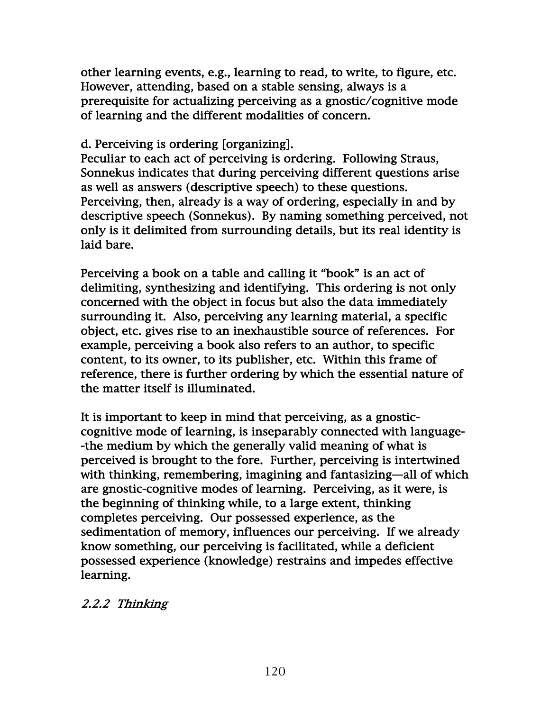other learning events, e.g., learning to read, to write, to figure, etc. However, attending, based on a stable sensing, always is a prerequisite for actualizing perceiving as a gnostic/cognitive mode of learning and the different modalities of concern.

#### d. Perceiving is ordering [organizing].

Peculiar to each act of perceiving is ordering. Following Straus, Sonnekus indicates that during perceiving different questions arise as well as answers (descriptive speech) to these questions. Perceiving, then, already is a way of ordering, especially in and by descriptive speech (Sonnekus). By naming something perceived, not only is it delimited from surrounding details, but its real identity is laid bare.

Perceiving a book on a table and calling it "book" is an act of delimiting, synthesizing and identifying. This ordering is not only concerned with the object in focus but also the data immediately surrounding it. Also, perceiving any learning material, a specific object, etc. gives rise to an inexhaustible source of references. For example, perceiving a book also refers to an author, to specific content, to its owner, to its publisher, etc. Within this frame of reference, there is further ordering by which the essential nature of the matter itself is illuminated.

It is important to keep in mind that perceiving, as a gnosticcognitive mode of learning, is inseparably connected with language- -the medium by which the generally valid meaning of what is perceived is brought to the fore. Further, perceiving is intertwined with thinking, remembering, imagining and fantasizing—all of which are gnostic-cognitive modes of learning. Perceiving, as it were, is the beginning of thinking while, to a large extent, thinking completes perceiving. Our possessed experience, as the sedimentation of memory, influences our perceiving. If we already know something, our perceiving is facilitated, while a deficient possessed experience (knowledge) restrains and impedes effective learning.

## 2.2.2 Thinking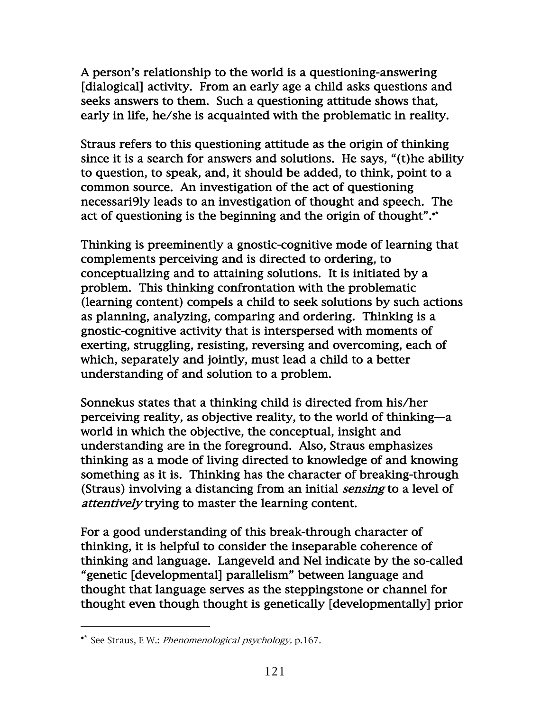A person's relationship to the world is a questioning-answering [dialogical] activity. From an early age a child asks questions and seeks answers to them. Such a questioning attitude shows that, early in life, he/she is acquainted with the problematic in reality.

Straus refers to this questioning attitude as the origin of thinking since it is a search for answers and solutions. He says, "(t)he ability to question, to speak, and, it should be added, to think, point to a common source. An investigation of the act of questioning necessari9ly leads to an investigation of thought and speech. The act of questioning is the beginning and the origin of thought".•\*

Thinking is preeminently a gnostic-cognitive mode of learning that complements perceiving and is directed to ordering, to conceptualizing and to attaining solutions. It is initiated by a problem. This thinking confrontation with the problematic (learning content) compels a child to seek solutions by such actions as planning, analyzing, comparing and ordering. Thinking is a gnostic-cognitive activity that is interspersed with moments of exerting, struggling, resisting, reversing and overcoming, each of which, separately and jointly, must lead a child to a better understanding of and solution to a problem.

Sonnekus states that a thinking child is directed from his/her perceiving reality, as objective reality, to the world of thinking—a world in which the objective, the conceptual, insight and understanding are in the foreground. Also, Straus emphasizes thinking as a mode of living directed to knowledge of and knowing something as it is. Thinking has the character of breaking-through (Straus) involving a distancing from an initial sensing to a level of attentively trying to master the learning content.

For a good understanding of this break-through character of thinking, it is helpful to consider the inseparable coherence of thinking and language. Langeveld and Nel indicate by the so-called "genetic [developmental] parallelism" between language and thought that language serves as the steppingstone or channel for thought even though thought is genetically [developmentally] prior

<sup>•</sup>\* See Straus, E W.: Phenomenological psychology, p.167.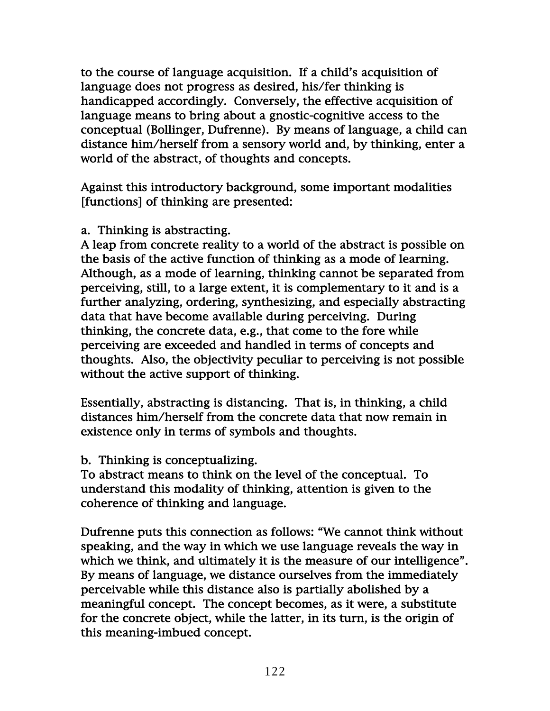to the course of language acquisition. If a child's acquisition of language does not progress as desired, his/fer thinking is handicapped accordingly. Conversely, the effective acquisition of language means to bring about a gnostic-cognitive access to the conceptual (Bollinger, Dufrenne). By means of language, a child can distance him/herself from a sensory world and, by thinking, enter a world of the abstract, of thoughts and concepts.

Against this introductory background, some important modalities [functions] of thinking are presented:

#### a. Thinking is abstracting.

A leap from concrete reality to a world of the abstract is possible on the basis of the active function of thinking as a mode of learning. Although, as a mode of learning, thinking cannot be separated from perceiving, still, to a large extent, it is complementary to it and is a further analyzing, ordering, synthesizing, and especially abstracting data that have become available during perceiving. During thinking, the concrete data, e.g., that come to the fore while perceiving are exceeded and handled in terms of concepts and thoughts. Also, the objectivity peculiar to perceiving is not possible without the active support of thinking.

Essentially, abstracting is distancing. That is, in thinking, a child distances him/herself from the concrete data that now remain in existence only in terms of symbols and thoughts.

#### b. Thinking is conceptualizing.

To abstract means to think on the level of the conceptual. To understand this modality of thinking, attention is given to the coherence of thinking and language.

Dufrenne puts this connection as follows: "We cannot think without speaking, and the way in which we use language reveals the way in which we think, and ultimately it is the measure of our intelligence". By means of language, we distance ourselves from the immediately perceivable while this distance also is partially abolished by a meaningful concept. The concept becomes, as it were, a substitute for the concrete object, while the latter, in its turn, is the origin of this meaning-imbued concept.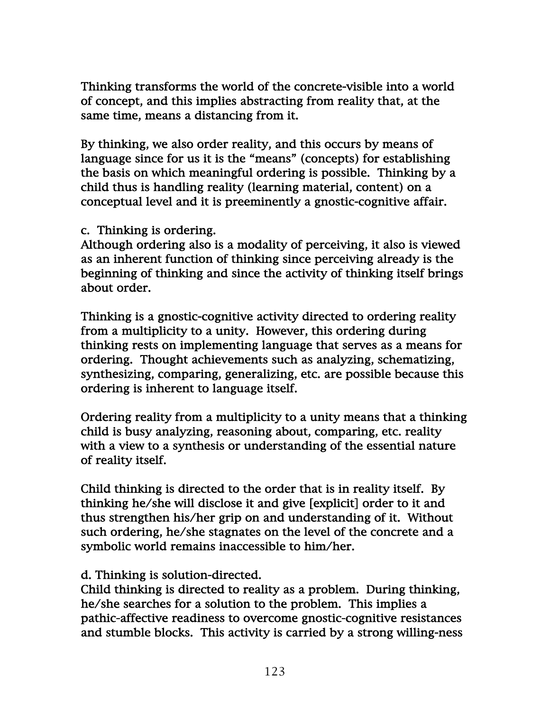Thinking transforms the world of the concrete-visible into a world of concept, and this implies abstracting from reality that, at the same time, means a distancing from it.

By thinking, we also order reality, and this occurs by means of language since for us it is the "means" (concepts) for establishing the basis on which meaningful ordering is possible. Thinking by a child thus is handling reality (learning material, content) on a conceptual level and it is preeminently a gnostic-cognitive affair.

#### c. Thinking is ordering.

Although ordering also is a modality of perceiving, it also is viewed as an inherent function of thinking since perceiving already is the beginning of thinking and since the activity of thinking itself brings about order.

Thinking is a gnostic-cognitive activity directed to ordering reality from a multiplicity to a unity. However, this ordering during thinking rests on implementing language that serves as a means for ordering. Thought achievements such as analyzing, schematizing, synthesizing, comparing, generalizing, etc. are possible because this ordering is inherent to language itself.

Ordering reality from a multiplicity to a unity means that a thinking child is busy analyzing, reasoning about, comparing, etc. reality with a view to a synthesis or understanding of the essential nature of reality itself.

Child thinking is directed to the order that is in reality itself. By thinking he/she will disclose it and give [explicit] order to it and thus strengthen his/her grip on and understanding of it. Without such ordering, he/she stagnates on the level of the concrete and a symbolic world remains inaccessible to him/her.

## d. Thinking is solution-directed.

Child thinking is directed to reality as a problem. During thinking, he/she searches for a solution to the problem. This implies a pathic-affective readiness to overcome gnostic-cognitive resistances and stumble blocks. This activity is carried by a strong willing-ness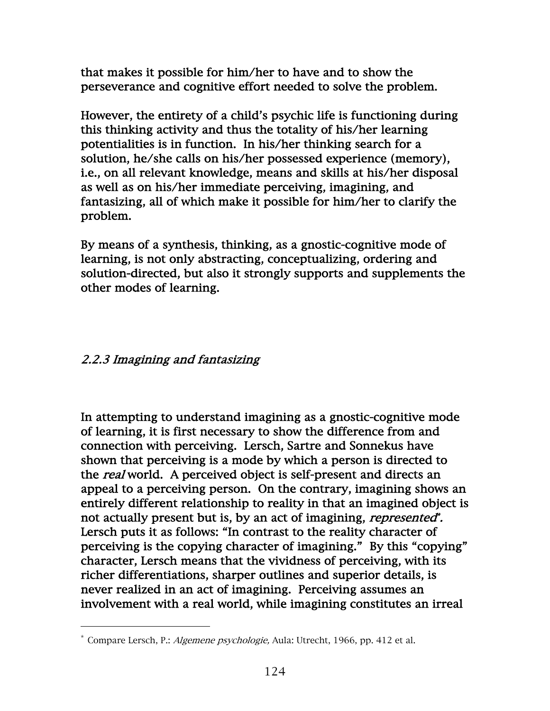that makes it possible for him/her to have and to show the perseverance and cognitive effort needed to solve the problem.

However, the entirety of a child's psychic life is functioning during this thinking activity and thus the totality of his/her learning potentialities is in function. In his/her thinking search for a solution, he/she calls on his/her possessed experience (memory), i.e., on all relevant knowledge, means and skills at his/her disposal as well as on his/her immediate perceiving, imagining, and fantasizing, all of which make it possible for him/her to clarify the problem.

By means of a synthesis, thinking, as a gnostic-cognitive mode of learning, is not only abstracting, conceptualizing, ordering and solution-directed, but also it strongly supports and supplements the other modes of learning.

# 2.2.3 Imagining and fantasizing

In attempting to understand imagining as a gnostic-cognitive mode of learning, it is first necessary to show the difference from and connection with perceiving. Lersch, Sartre and Sonnekus have shown that perceiving is a mode by which a person is directed to the real world. A perceived object is self-present and directs an appeal to a perceiving person. On the contrary, imagining shows an entirely different relationship to reality in that an imagined object is not actually present but is, by an act of imagining, *represented*<sup>\*</sup>. Lersch puts it as follows: "In contrast to the reality character of perceiving is the copying character of imagining." By this "copying" character, Lersch means that the vividness of perceiving, with its richer differentiations, sharper outlines and superior details, is never realized in an act of imagining. Perceiving assumes an involvement with a real world, while imagining constitutes an irreal

<sup>\*</sup> Compare Lersch, P.: Algemene psychologie, Aula: Utrecht, 1966, pp. 412 et al.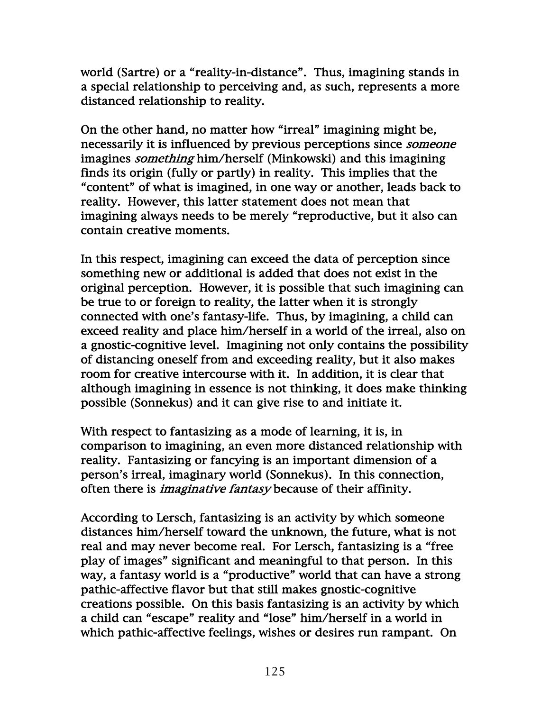world (Sartre) or a "reality-in-distance". Thus, imagining stands in a special relationship to perceiving and, as such, represents a more distanced relationship to reality.

On the other hand, no matter how "irreal" imagining might be, necessarily it is influenced by previous perceptions since someone imagines *something* him/herself (Minkowski) and this imagining finds its origin (fully or partly) in reality. This implies that the "content" of what is imagined, in one way or another, leads back to reality. However, this latter statement does not mean that imagining always needs to be merely "reproductive, but it also can contain creative moments.

In this respect, imagining can exceed the data of perception since something new or additional is added that does not exist in the original perception. However, it is possible that such imagining can be true to or foreign to reality, the latter when it is strongly connected with one's fantasy-life. Thus, by imagining, a child can exceed reality and place him/herself in a world of the irreal, also on a gnostic-cognitive level. Imagining not only contains the possibility of distancing oneself from and exceeding reality, but it also makes room for creative intercourse with it. In addition, it is clear that although imagining in essence is not thinking, it does make thinking possible (Sonnekus) and it can give rise to and initiate it.

With respect to fantasizing as a mode of learning, it is, in comparison to imagining, an even more distanced relationship with reality. Fantasizing or fancying is an important dimension of a person's irreal, imaginary world (Sonnekus). In this connection, often there is imaginative fantasy because of their affinity.

According to Lersch, fantasizing is an activity by which someone distances him/herself toward the unknown, the future, what is not real and may never become real. For Lersch, fantasizing is a "free play of images" significant and meaningful to that person. In this way, a fantasy world is a "productive" world that can have a strong pathic-affective flavor but that still makes gnostic-cognitive creations possible. On this basis fantasizing is an activity by which a child can "escape" reality and "lose" him/herself in a world in which pathic-affective feelings, wishes or desires run rampant. On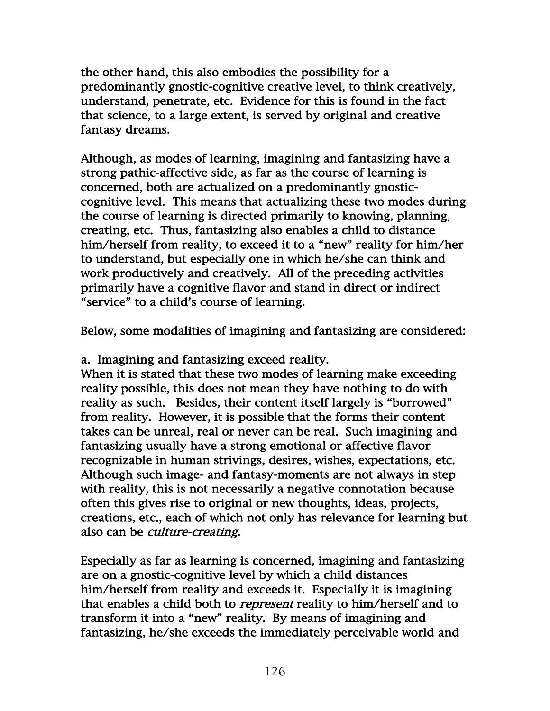the other hand, this also embodies the possibility for a predominantly gnostic-cognitive creative level, to think creatively, understand, penetrate, etc. Evidence for this is found in the fact that science, to a large extent, is served by original and creative fantasy dreams.

Although, as modes of learning, imagining and fantasizing have a strong pathic-affective side, as far as the course of learning is concerned, both are actualized on a predominantly gnosticcognitive level. This means that actualizing these two modes during the course of learning is directed primarily to knowing, planning, creating, etc. Thus, fantasizing also enables a child to distance him/herself from reality, to exceed it to a "new" reality for him/her to understand, but especially one in which he/she can think and work productively and creatively. All of the preceding activities primarily have a cognitive flavor and stand in direct or indirect "service" to a child's course of learning.

Below, some modalities of imagining and fantasizing are considered:

a. Imagining and fantasizing exceed reality.

When it is stated that these two modes of learning make exceeding reality possible, this does not mean they have nothing to do with reality as such. Besides, their content itself largely is "borrowed" from reality. However, it is possible that the forms their content takes can be unreal, real or never can be real. Such imagining and fantasizing usually have a strong emotional or affective flavor recognizable in human strivings, desires, wishes, expectations, etc. Although such image- and fantasy-moments are not always in step with reality, this is not necessarily a negative connotation because often this gives rise to original or new thoughts, ideas, projects, creations, etc., each of which not only has relevance for learning but also can be *culture-creating*.

Especially as far as learning is concerned, imagining and fantasizing are on a gnostic-cognitive level by which a child distances him/herself from reality and exceeds it. Especially it is imagining that enables a child both to *represent* reality to him/herself and to transform it into a "new" reality. By means of imagining and fantasizing, he/she exceeds the immediately perceivable world and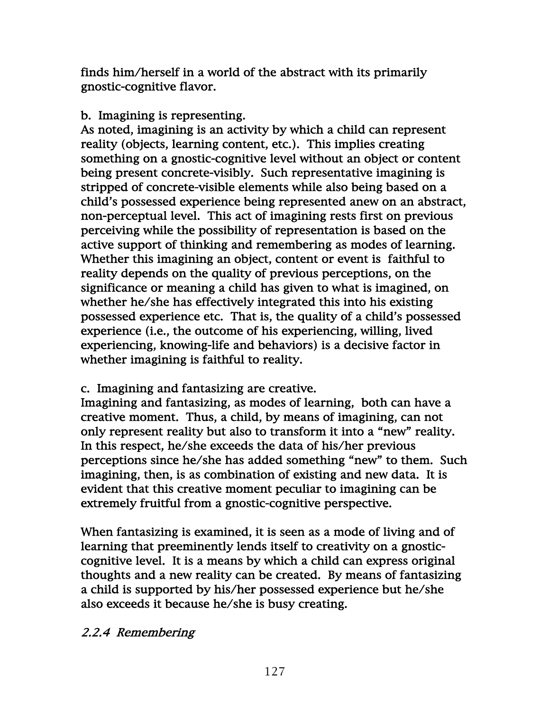finds him/herself in a world of the abstract with its primarily gnostic-cognitive flavor.

### b. Imagining is representing.

As noted, imagining is an activity by which a child can represent reality (objects, learning content, etc.). This implies creating something on a gnostic-cognitive level without an object or content being present concrete-visibly. Such representative imagining is stripped of concrete-visible elements while also being based on a child's possessed experience being represented anew on an abstract, non-perceptual level. This act of imagining rests first on previous perceiving while the possibility of representation is based on the active support of thinking and remembering as modes of learning. Whether this imagining an object, content or event is faithful to reality depends on the quality of previous perceptions, on the significance or meaning a child has given to what is imagined, on whether he/she has effectively integrated this into his existing possessed experience etc. That is, the quality of a child's possessed experience (i.e., the outcome of his experiencing, willing, lived experiencing, knowing-life and behaviors) is a decisive factor in whether imagining is faithful to reality.

## c. Imagining and fantasizing are creative.

Imagining and fantasizing, as modes of learning, both can have a creative moment. Thus, a child, by means of imagining, can not only represent reality but also to transform it into a "new" reality. In this respect, he/she exceeds the data of his/her previous perceptions since he/she has added something "new" to them. Such imagining, then, is as combination of existing and new data. It is evident that this creative moment peculiar to imagining can be extremely fruitful from a gnostic-cognitive perspective.

When fantasizing is examined, it is seen as a mode of living and of learning that preeminently lends itself to creativity on a gnosticcognitive level. It is a means by which a child can express original thoughts and a new reality can be created. By means of fantasizing a child is supported by his/her possessed experience but he/she also exceeds it because he/she is busy creating.

## 2.2.4 Remembering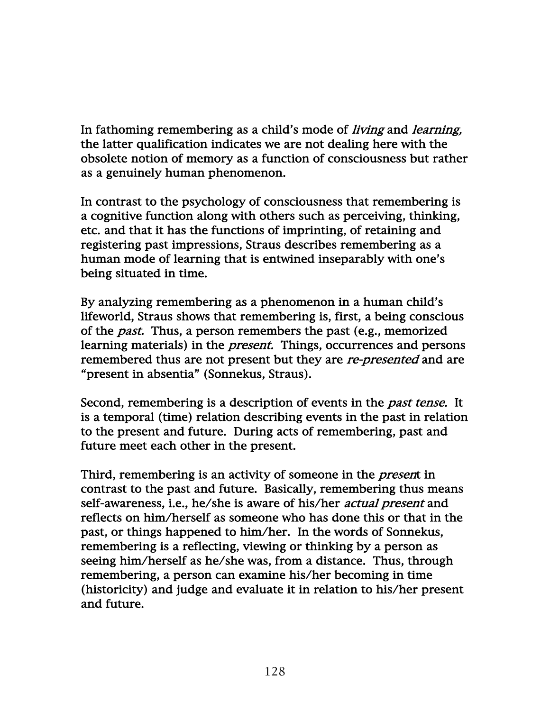In fathoming remembering as a child's mode of *living* and *learning*, the latter qualification indicates we are not dealing here with the obsolete notion of memory as a function of consciousness but rather as a genuinely human phenomenon.

In contrast to the psychology of consciousness that remembering is a cognitive function along with others such as perceiving, thinking, etc. and that it has the functions of imprinting, of retaining and registering past impressions, Straus describes remembering as a human mode of learning that is entwined inseparably with one's being situated in time.

By analyzing remembering as a phenomenon in a human child's lifeworld, Straus shows that remembering is, first, a being conscious of the *past*. Thus, a person remembers the past (e.g., memorized learning materials) in the *present*. Things, occurrences and persons remembered thus are not present but they are *re-presented* and are "present in absentia" (Sonnekus, Straus).

Second, remembering is a description of events in the *past tense*. It is a temporal (time) relation describing events in the past in relation to the present and future. During acts of remembering, past and future meet each other in the present.

Third, remembering is an activity of someone in the *present* in contrast to the past and future. Basically, remembering thus means self-awareness, i.e., he/she is aware of his/her actual present and reflects on him/herself as someone who has done this or that in the past, or things happened to him/her. In the words of Sonnekus, remembering is a reflecting, viewing or thinking by a person as seeing him/herself as he/she was, from a distance. Thus, through remembering, a person can examine his/her becoming in time (historicity) and judge and evaluate it in relation to his/her present and future.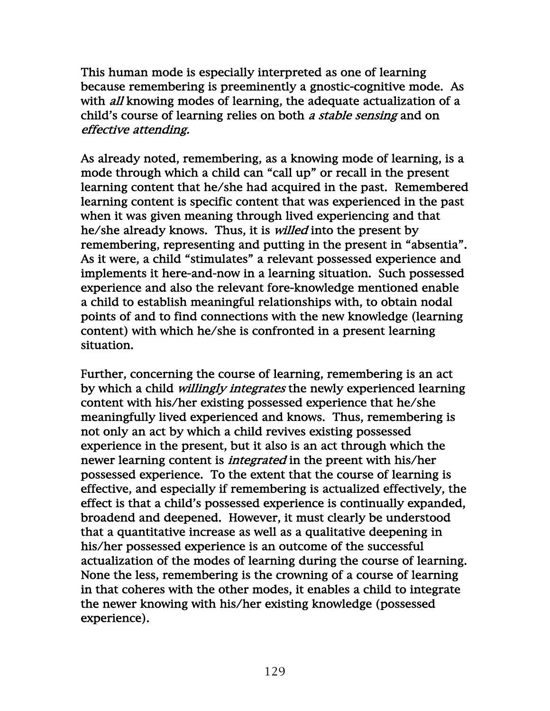This human mode is especially interpreted as one of learning because remembering is preeminently a gnostic-cognitive mode. As with *all* knowing modes of learning, the adequate actualization of a child's course of learning relies on both a stable sensing and on effective attending.

As already noted, remembering, as a knowing mode of learning, is a mode through which a child can "call up" or recall in the present learning content that he/she had acquired in the past. Remembered learning content is specific content that was experienced in the past when it was given meaning through lived experiencing and that he/she already knows. Thus, it is *willed* into the present by remembering, representing and putting in the present in "absentia". As it were, a child "stimulates" a relevant possessed experience and implements it here-and-now in a learning situation. Such possessed experience and also the relevant fore-knowledge mentioned enable a child to establish meaningful relationships with, to obtain nodal points of and to find connections with the new knowledge (learning content) with which he/she is confronted in a present learning situation.

Further, concerning the course of learning, remembering is an act by which a child *willingly integrates* the newly experienced learning content with his/her existing possessed experience that he/she meaningfully lived experienced and knows. Thus, remembering is not only an act by which a child revives existing possessed experience in the present, but it also is an act through which the newer learning content is *integrated* in the preent with his/her possessed experience. To the extent that the course of learning is effective, and especially if remembering is actualized effectively, the effect is that a child's possessed experience is continually expanded, broadend and deepened. However, it must clearly be understood that a quantitative increase as well as a qualitative deepening in his/her possessed experience is an outcome of the successful actualization of the modes of learning during the course of learning. None the less, remembering is the crowning of a course of learning in that coheres with the other modes, it enables a child to integrate the newer knowing with his/her existing knowledge (possessed experience).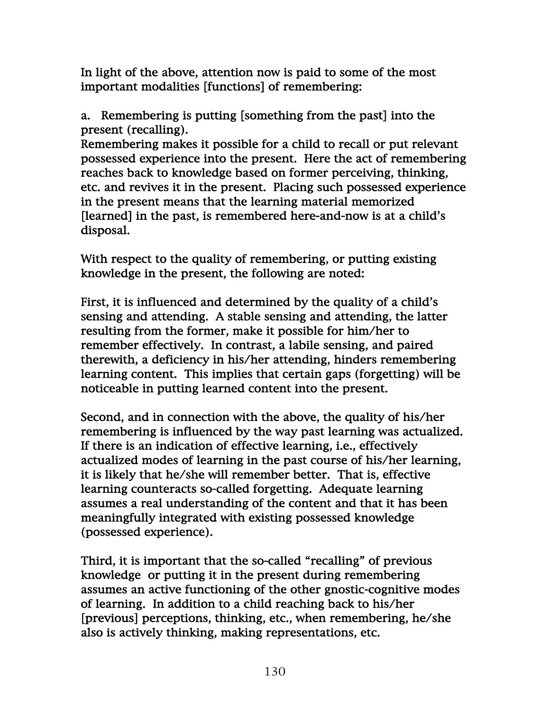In light of the above, attention now is paid to some of the most important modalities [functions] of remembering:

a. Remembering is putting [something from the past] into the present (recalling).

Remembering makes it possible for a child to recall or put relevant possessed experience into the present. Here the act of remembering reaches back to knowledge based on former perceiving, thinking, etc. and revives it in the present. Placing such possessed experience in the present means that the learning material memorized [learned] in the past, is remembered here-and-now is at a child's disposal.

With respect to the quality of remembering, or putting existing knowledge in the present, the following are noted:

First, it is influenced and determined by the quality of a child's sensing and attending. A stable sensing and attending, the latter resulting from the former, make it possible for him/her to remember effectively. In contrast, a labile sensing, and paired therewith, a deficiency in his/her attending, hinders remembering learning content. This implies that certain gaps (forgetting) will be noticeable in putting learned content into the present.

Second, and in connection with the above, the quality of his/her remembering is influenced by the way past learning was actualized. If there is an indication of effective learning, i.e., effectively actualized modes of learning in the past course of his/her learning, it is likely that he/she will remember better. That is, effective learning counteracts so-called forgetting. Adequate learning assumes a real understanding of the content and that it has been meaningfully integrated with existing possessed knowledge (possessed experience).

Third, it is important that the so-called "recalling" of previous knowledge or putting it in the present during remembering assumes an active functioning of the other gnostic-cognitive modes of learning. In addition to a child reaching back to his/her [previous] perceptions, thinking, etc., when remembering, he/she also is actively thinking, making representations, etc.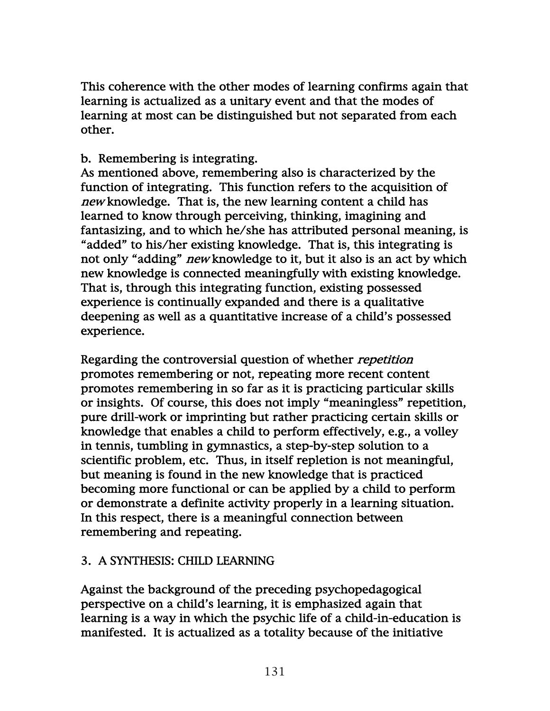This coherence with the other modes of learning confirms again that learning is actualized as a unitary event and that the modes of learning at most can be distinguished but not separated from each other.

# b. Remembering is integrating.

As mentioned above, remembering also is characterized by the function of integrating. This function refers to the acquisition of new knowledge. That is, the new learning content a child has learned to know through perceiving, thinking, imagining and fantasizing, and to which he/she has attributed personal meaning, is "added" to his/her existing knowledge. That is, this integrating is not only "adding" new knowledge to it, but it also is an act by which new knowledge is connected meaningfully with existing knowledge. That is, through this integrating function, existing possessed experience is continually expanded and there is a qualitative deepening as well as a quantitative increase of a child's possessed experience.

Regarding the controversial question of whether *repetition* promotes remembering or not, repeating more recent content promotes remembering in so far as it is practicing particular skills or insights. Of course, this does not imply "meaningless" repetition, pure drill-work or imprinting but rather practicing certain skills or knowledge that enables a child to perform effectively, e.g., a volley in tennis, tumbling in gymnastics, a step-by-step solution to a scientific problem, etc. Thus, in itself repletion is not meaningful, but meaning is found in the new knowledge that is practiced becoming more functional or can be applied by a child to perform or demonstrate a definite activity properly in a learning situation. In this respect, there is a meaningful connection between remembering and repeating.

# 3. A SYNTHESIS: CHILD LEARNING

Against the background of the preceding psychopedagogical perspective on a child's learning, it is emphasized again that learning is a way in which the psychic life of a child-in-education is manifested. It is actualized as a totality because of the initiative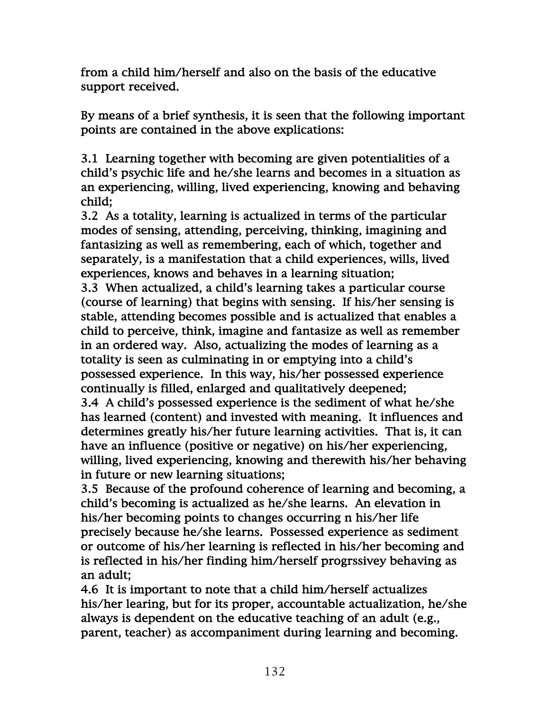from a child him/herself and also on the basis of the educative support received.

By means of a brief synthesis, it is seen that the following important points are contained in the above explications:

3.1 Learning together with becoming are given potentialities of a child's psychic life and he/she learns and becomes in a situation as an experiencing, willing, lived experiencing, knowing and behaving child;

3.2 As a totality, learning is actualized in terms of the particular modes of sensing, attending, perceiving, thinking, imagining and fantasizing as well as remembering, each of which, together and separately, is a manifestation that a child experiences, wills, lived experiences, knows and behaves in a learning situation;

3.3 When actualized, a child's learning takes a particular course (course of learning) that begins with sensing. If his/her sensing is stable, attending becomes possible and is actualized that enables a child to perceive, think, imagine and fantasize as well as remember in an ordered way. Also, actualizing the modes of learning as a totality is seen as culminating in or emptying into a child's possessed experience. In this way, his/her possessed experience continually is filled, enlarged and qualitatively deepened;

3.4 A child's possessed experience is the sediment of what he/she has learned (content) and invested with meaning. It influences and determines greatly his/her future learning activities. That is, it can have an influence (positive or negative) on his/her experiencing, willing, lived experiencing, knowing and therewith his/her behaving in future or new learning situations;

3.5 Because of the profound coherence of learning and becoming, a child's becoming is actualized as he/she learns. An elevation in his/her becoming points to changes occurring n his/her life precisely because he/she learns. Possessed experience as sediment or outcome of his/her learning is reflected in his/her becoming and is reflected in his/her finding him/herself progrssivey behaving as an adult;

4.6 It is important to note that a child him/herself actualizes his/her learing, but for its proper, accountable actualization, he/she always is dependent on the educative teaching of an adult (e.g., parent, teacher) as accompaniment during learning and becoming.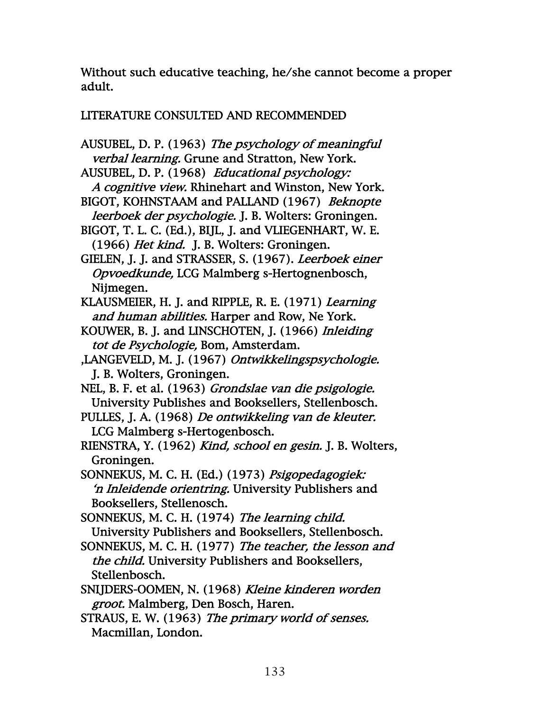Without such educative teaching, he/she cannot become a proper adult.

# LITERATURE CONSULTED AND RECOMMENDED

- AUSUBEL, D. P. (1963) The psychology of meaningful verbal learning. Grune and Stratton, New York.
- AUSUBEL, D. P. (1968) Educational psychology: A cognitive view. Rhinehart and Winston, New York.
- BIGOT, KOHNSTAAM and PALLAND (1967) Beknopte leerboek der psychologie. J. B. Wolters: Groningen.
- BIGOT, T. L. C. (Ed.), BIJL, J. and VLIEGENHART, W. E. (1966) Het kind. J. B. Wolters: Groningen.
- GIELEN, J. J. and STRASSER, S. (1967). Leerboek einer Opvoedkunde, LCG Malmberg s-Hertognenbosch, Nijmegen.
- KLAUSMEIER, H. J. and RIPPLE, R. E. (1971) Learning and human abilities. Harper and Row, Ne York.
- KOUWER, B. J. and LINSCHOTEN, J. (1966) Inleiding tot de Psychologie, Bom, Amsterdam.
- ,LANGEVELD, M. J. (1967) Ontwikkelingspsychologie. J. B. Wolters, Groningen.
- NEL, B. F. et al. (1963) Grondslae van die psigologie. University Publishes and Booksellers, Stellenbosch.
- PULLES, J. A. (1968) De ontwikkeling van de kleuter. LCG Malmberg s-Hertogenbosch.
- RIENSTRA, Y. (1962) Kind, school en gesin. J. B. Wolters, Groningen.
- SONNEKUS, M. C. H. (Ed.) (1973) Psigopedagogiek: 'n Inleidende orientring. University Publishers and Booksellers, Stellenosch.
- SONNEKUS, M. C. H. (1974) The learning child. University Publishers and Booksellers, Stellenbosch.
- SONNEKUS, M. C. H. (1977) The teacher, the lesson and the child. University Publishers and Booksellers, Stellenbosch.
- SNIJDERS-OOMEN, N. (1968) Kleine kinderen worden groot. Malmberg, Den Bosch, Haren.
- STRAUS, E. W. (1963) The primary world of senses. Macmillan, London.